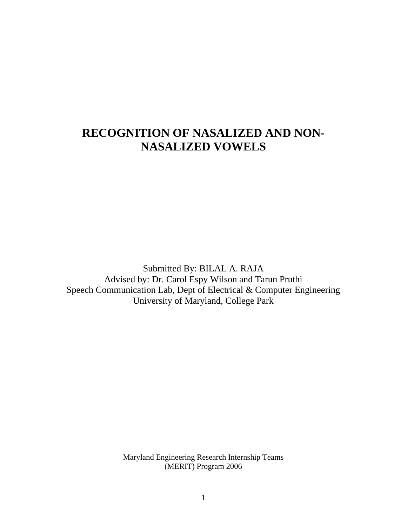# **RECOGNITION OF NASALIZED AND NON-NASALIZED VOWELS**

Submitted By: BILAL A. RAJA Advised by: Dr. Carol Espy Wilson and Tarun Pruthi Speech Communication Lab, Dept of Electrical & Computer Engineering University of Maryland, College Park

> Maryland Engineering Research Internship Teams (MERIT) Program 2006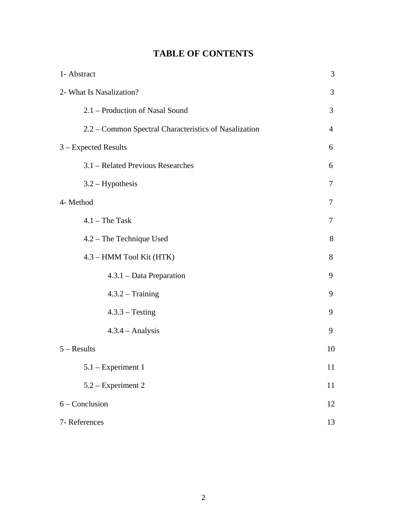| 1- Abstract                                           |                |
|-------------------------------------------------------|----------------|
| 2- What Is Nasalization?<br>3                         |                |
| 2.1 – Production of Nasal Sound                       | 3              |
| 2.2 – Common Spectral Characteristics of Nasalization | $\overline{4}$ |
| 3 - Expected Results                                  | 6              |
| 3.1 – Related Previous Researches                     | 6              |
| $3.2 - Hypothesis$                                    | 7              |
| 4- Method                                             | 7              |
| $4.1$ – The Task                                      | 7              |
| 4.2 - The Technique Used                              | 8              |
| 4.3 – HMM Tool Kit (HTK)                              | 8              |
| $4.3.1 - Data Preparation$                            | 9              |
| $4.3.2 - Training$                                    | 9              |
| $4.3.3 - Testing$                                     | 9              |
| $4.3.4 - Analysis$                                    | 9              |
| $5 - Results$                                         | 10             |
| $5.1$ – Experiment 1                                  | 11             |
| 5.2 – Experiment 2                                    | 11             |
| $6 - Conclusion$                                      | 12             |
| 7-References                                          |                |

## **TABLE OF CONTENTS**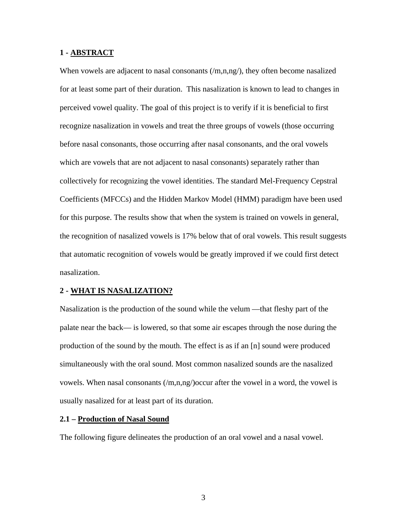## **1 - ABSTRACT**

When vowels are adjacent to nasal consonants  $(m,n,ng)$ , they often become nasalized for at least some part of their duration. This nasalization is known to lead to changes in perceived vowel quality. The goal of this project is to verify if it is beneficial to first recognize nasalization in vowels and treat the three groups of vowels (those occurring before nasal consonants, those occurring after nasal consonants, and the oral vowels which are vowels that are not adjacent to nasal consonants) separately rather than collectively for recognizing the vowel identities. The standard Mel-Frequency Cepstral Coefficients (MFCCs) and the Hidden Markov Model (HMM) paradigm have been used for this purpose. The results show that when the system is trained on vowels in general, the recognition of nasalized vowels is 17% below that of oral vowels. This result suggests that automatic recognition of vowels would be greatly improved if we could first detect nasalization.

#### **2 - WHAT IS NASALIZATION?**

Nasalization is the production of the sound while the velum —that fleshy part of the palate near the back— is lowered, so that some air escapes through the nose during the production of the sound by the mouth. The effect is as if an [n] sound were produced simultaneously with the oral sound. Most common nasalized sounds are the nasalized vowels. When nasal consonants  $(m,n,ng)/\infty$  after the vowel in a word, the vowel is usually nasalized for at least part of its duration.

### **2.1 – Production of Nasal Sound**

The following figure delineates the production of an oral vowel and a nasal vowel.

3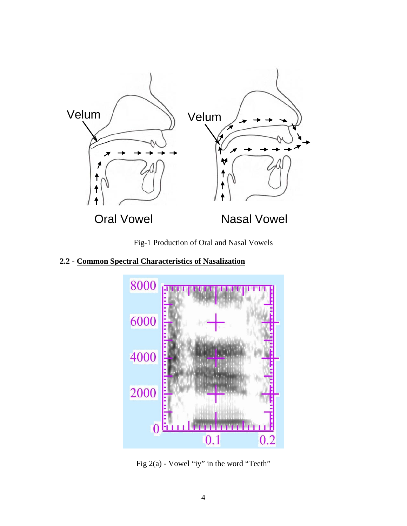

Fig-1 Production of Oral and Nasal Vowels

**2.2 - Common Spectral Characteristics of Nasalization**



Fig 2(a) - Vowel "iy" in the word "Teeth"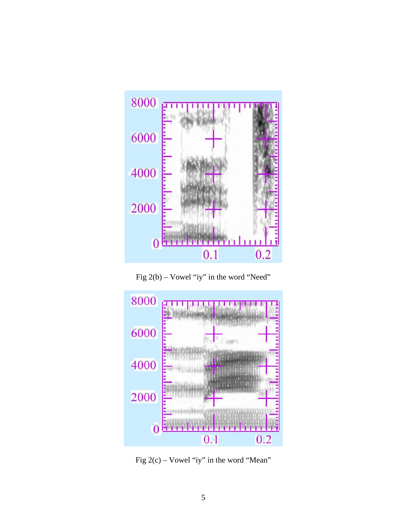

Fig 2(b) – Vowel "iy" in the word "Need"



Fig 2(c) – Vowel "iy" in the word "Mean"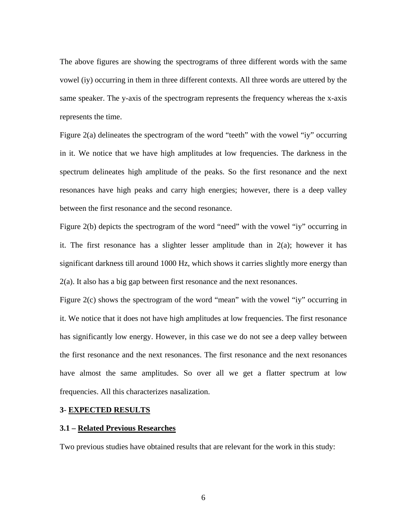The above figures are showing the spectrograms of three different words with the same vowel (iy) occurring in them in three different contexts. All three words are uttered by the same speaker. The y-axis of the spectrogram represents the frequency whereas the x-axis represents the time.

Figure 2(a) delineates the spectrogram of the word "teeth" with the vowel "iy" occurring in it. We notice that we have high amplitudes at low frequencies. The darkness in the spectrum delineates high amplitude of the peaks. So the first resonance and the next resonances have high peaks and carry high energies; however, there is a deep valley between the first resonance and the second resonance.

Figure 2(b) depicts the spectrogram of the word "need" with the vowel "iy" occurring in it. The first resonance has a slighter lesser amplitude than in  $2(a)$ ; however it has significant darkness till around 1000 Hz, which shows it carries slightly more energy than 2(a). It also has a big gap between first resonance and the next resonances.

Figure 2(c) shows the spectrogram of the word "mean" with the vowel "iy" occurring in it. We notice that it does not have high amplitudes at low frequencies. The first resonance has significantly low energy. However, in this case we do not see a deep valley between the first resonance and the next resonances. The first resonance and the next resonances have almost the same amplitudes. So over all we get a flatter spectrum at low frequencies. All this characterizes nasalization.

#### **3**- **EXPECTED RESULTS**

#### **3.1 – Related Previous Researches**

Two previous studies have obtained results that are relevant for the work in this study: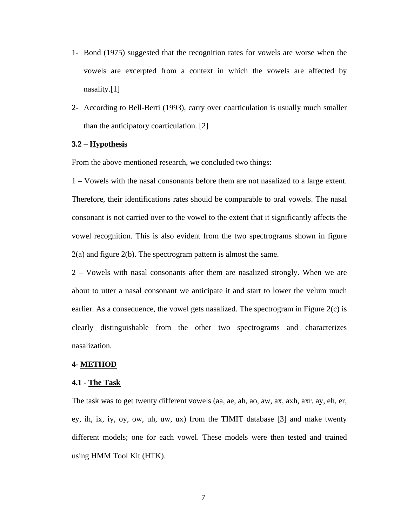- 1- Bond (1975) suggested that the recognition rates for vowels are worse when the vowels are excerpted from a context in which the vowels are affected by nasality.[1]
- 2- According to Bell-Berti (1993), carry over coarticulation is usually much smaller than the anticipatory coarticulation. [2]

## **3.2** – **Hypothesis**

From the above mentioned research, we concluded two things:

1 – Vowels with the nasal consonants before them are not nasalized to a large extent. Therefore, their identifications rates should be comparable to oral vowels. The nasal consonant is not carried over to the vowel to the extent that it significantly affects the vowel recognition. This is also evident from the two spectrograms shown in figure 2(a) and figure 2(b). The spectrogram pattern is almost the same.

2 – Vowels with nasal consonants after them are nasalized strongly. When we are about to utter a nasal consonant we anticipate it and start to lower the velum much earlier. As a consequence, the vowel gets nasalized. The spectrogram in Figure 2(c) is clearly distinguishable from the other two spectrograms and characterizes nasalization.

#### **4- METHOD**

#### **4.1** - **The Task**

The task was to get twenty different vowels (aa, ae, ah, ao, aw, ax, axh, axr, ay, eh, er, ey, ih, ix, iy, oy, ow, uh, uw, ux) from the TIMIT database [3] and make twenty different models; one for each vowel. These models were then tested and trained using HMM Tool Kit (HTK).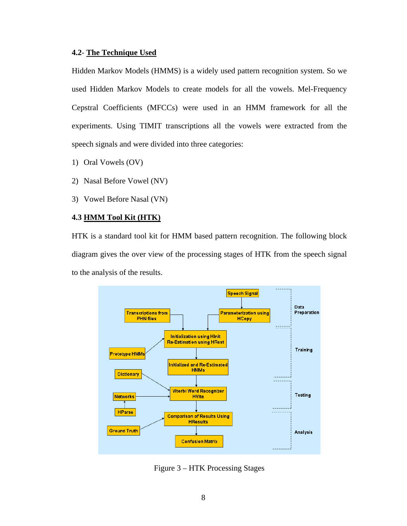## **4.2**- **The Technique Used**

Hidden Markov Models (HMMS) is a widely used pattern recognition system. So we used Hidden Markov Models to create models for all the vowels. Mel-Frequency Cepstral Coefficients (MFCCs) were used in an HMM framework for all the experiments. Using TIMIT transcriptions all the vowels were extracted from the speech signals and were divided into three categories:

- 1) Oral Vowels (OV)
- 2) Nasal Before Vowel (NV)
- 3) Vowel Before Nasal (VN)

## **4.3 HMM Tool Kit (HTK)**

HTK is a standard tool kit for HMM based pattern recognition. The following block diagram gives the over view of the processing stages of HTK from the speech signal to the analysis of the results.



Figure 3 – HTK Processing Stages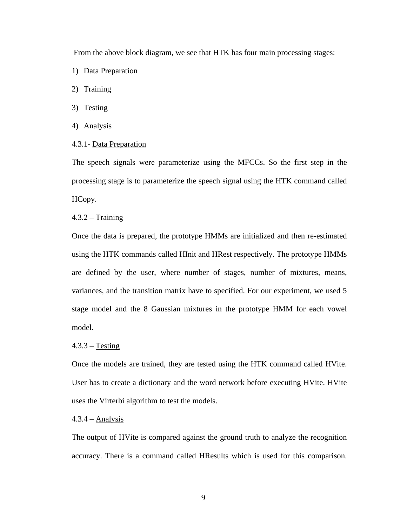From the above block diagram, we see that HTK has four main processing stages:

- 1) Data Preparation
- 2) Training
- 3) Testing
- 4) Analysis
- 4.3.1- Data Preparation

The speech signals were parameterize using the MFCCs. So the first step in the processing stage is to parameterize the speech signal using the HTK command called HCopy.

#### $4.3.2 - Training$

Once the data is prepared, the prototype HMMs are initialized and then re-estimated using the HTK commands called HInit and HRest respectively. The prototype HMMs are defined by the user, where number of stages, number of mixtures, means, variances, and the transition matrix have to specified. For our experiment, we used 5 stage model and the 8 Gaussian mixtures in the prototype HMM for each vowel model.

#### $4.3.3 - Testing$

Once the models are trained, they are tested using the HTK command called HVite. User has to create a dictionary and the word network before executing HVite. HVite uses the Virterbi algorithm to test the models.

#### $4.3.4 -$ Analysis

The output of HVite is compared against the ground truth to analyze the recognition accuracy. There is a command called HResults which is used for this comparison.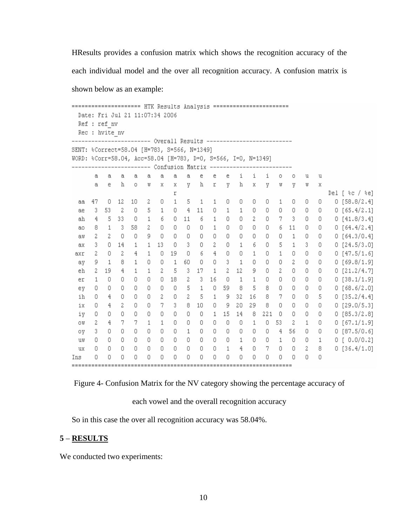HResults provides a confusion matrix which shows the recognition accuracy of the each individual model and the over all recognition accuracy. A confusion matrix is shown below as an example:

===================== HTK Results Analysis ======================== Date: Fri Jul 21 11:07:34 2006 Ref : ref nv Rec : hvite nv SENT: \*Correct=58.04 [H=783, S=566, N=1349] WORD: %Corr=58.04, Acc=58.04 [H=783, D=0, S=566, I=0, N=1349] ----------------------- Confusion Matrix ---------------a e e e. i i i  $\circ$  $\circ$ a  $a$ a.  $\mathbf{a}$  $^{\rm a}$  $\mathbf{a}$  $\mathbf{a}$ u  $\mathbf u$  $\alpha$ e h  $\circ$  $\bar{X}$  $\mathbf x$ V h r V. h  $\mathbf{x}$ y  $\mathbf{U}$ V  $\mathbf{U}$  $\mathbb{U}$  $\boldsymbol{\mathsf{X}}$ Del [ %c / %e] r 47  $0$  12 10 2 0  $\mathbf{1}$ 5  $1\,$  $1\,$ 0 0  $\overline{\phantom{0}}$ 0 1 0  $\circ$  $\Box$  $0 [58.8/2.4]$ aa 3 53 2  $\circ$ 5  $\mathbf{1}$  $\overline{0}$  $4 \quad 11$  $\overline{0}$  $\mathbf{1}$  $\mathbb O$  $\mathbb O$ 0  $\circ$  $0 [65.4/2.1]$  $\mathbf{1}$  $0\quad 0$ ae.  $ah$ 4  $5 - 33$  $\mathbf 0$  $\mathbf{1}$ 6  $\mathbf{0}$  $11$ 6  $\mathbf{1}$ 0 0  $\overline{\phantom{0}}$ 0 7 3  $0 \quad 0$  $0[41.8/3.4]$  $\mathbf{1}$  $3 - 58$  $\rm{2}$  $\mathbb O$ 0  $\Box$ 0 0  $0\qquad 0$  $\mathbb O$  $0 \qquad 0$ 8  $\mathbf{1}$  $6 \quad 11$  $0[64.4/2.4]$ ao. 9 aw 2  $\mathbf{2}$  $\overline{0}$  $\overline{\phantom{0}}$  $\mathbb O$  $\overline{0}$  $0 \mathbb O$  $\overline{0}$ 0  $\overline{0}$  $\sim$  0  $\Box$  $\mathbb O$  $\mathbf{1}$  $0 \quad 0$  $0[64.3/0.4]$ 14  $13\,$  $\overline{\mathbf{0}}$  $3 \mathbb O$  $\rm{2}$ 0  $-6$  $\Box$ 5  $\mathbf{1}$  $3 \quad 0$  $0 [24.5/3.0]$ 3 0  $\mathbf{1}$  $\mathbf 1$  $\mathbf{1}$ ax  $\Box$  $\overline{2}$  $\frac{4}{3}$  $\mathbf 0$ 19  $\circ$ - 6  $\overline{4}$  $\circ$  $\mathbb O$  $\mathbb O$  $\mathbb O$  $0 \quad 0$ 2  $\mathbf{1}$  $\mathbf{1}$  $\mathbf{1}$  $0[47.5/1.6]$ axr 9  $1\,$ 8  $\mathbf{1}$  $\mathbb O$  $\mathbb O$  $\mathbf{1}$ 60  $\mathbb O$  $\mathbb O$ 3  $\mathbf{1}$  $-0$  $\overline{0}$  $\mathbb O$  $2 0 \quad 0$  $0 [69.8/1.9]$ ay  $\bar{z}$  $\overline{5}$  $3\quad 17$  $2 \rm{2}$ 19  $\overline{4}$  $\mathbf{1}$  $\mathbf{1}$  $\mathbf{1}$  $2 - 12$ 9.  $\Box$  $0\quad 0\quad 0$  $0 [21.2/4.7]$ eh  $\Box$  $0 \quad 0$  $\mathbb O$  $0$  18 -2  $3 -$ 16 0  $\overline{1}$  $\mathbf{1}$  $\Box$  $\Box$  $0\quad 0\quad 0$  $0 [38.1/1.9]$ er  $\mathbf{1}$  $\mathbb O$  $\cup$  $0 \quad 0$  $\Box$  $\Box$  $\cup$ -5  $\mathbf{1}$  $\Box$ 59 8 - 5 8  $\Box$  $0\quad 0\quad 0$  $0 [68.6/2.0]$ ey  $0 \quad 0$ 2  $\overline{\mathbf{0}}$  $\overline{a}$  $-5$ 9 32 16 8  $7 0 \quad 0 \quad 5$  $0 [35.2/4.4]$ ih  $\circ$  $4 \circ$  $\mathbf{1}$  $7<sup>1</sup>$  $\circ$  $4$  $2 \quad 0$  $\Box$ 3  $8 \quad 10$  $\overline{0}$ -9 20 -29 8  $\mathbb O$  $0\quad 0\quad 0$  $0 [29.0/5.3]$ ix.  $\mathbb O$  $\mathbf{0}$  $0\quad 0$  $\mathbb O$  $\Box$  $\mathbb O$  $0 \quad 0$  $1 \t15 \t14$  $82210$ 0  $\begin{array}{cc} & 0 & 0 \end{array}$  $0 [85.3/2.8]$ iv  $7 - 7$ 2  $\overline{4}$  $\mathbf{1}$  $\mathbf{1}$ 0  $0\quad 0$  $\mathbb O$ 0  $\mathbb O$  $\mathbf{1}$  $\mathbf{0}$ 53 2  $1 \quad 0$  $0$  [67.1/1.9] OW.  $\mathbb{O}$  $\overline{0}$  $\overline{4}$ ov -3  $\mathbf{0}$  $0\quad 0$  $\overline{0}$  $\circ$  $\mathbf{1}$ 0 0 0 0 - 0 56  $0\quad 0$  $0 [87.5/0.6]$  $0 0\quad 0$  $0 \overline{0}$  $\overline{0}$  $\overline{0}$  $\mathbb{O}$  $\mathbb O$  $\overline{0}$  $\mathbb O$  $\mathbbm{1}$  $\mathbb O$  $0 \quad 1$ uv 0  $\mathbf{1}$ 0  $0 [0.0/0.2]$ 0  $\circ$  $0 \quad 0$  $\circ$  $\mathbf 0$  $\overline{0}$  $0 \circ$  $\mathbb O$  $\mathbf{1}$ 4  $\mathbb O$ 7 0 0  $2 \quad 8$  $0 [36.4/1.0]$ ux 0  $\circ$  $0\quad 0$  $\mathbb O$  $\mathbb O$  $\circ$  $0 \mathbb O$  $\mathbb O$ 0  $\overline{0}$  $\overline{0}$  $\overline{0}$ 0  $\overline{0}$  $0 \quad 0$ Ins 

Figure 4- Confusion Matrix for the NV category showing the percentage accuracy of

### each vowel and the overall recognition accuracy

So in this case the over all recognition accuracy was 58.04%.

## **5** – **RESULTS**

We conducted two experiments: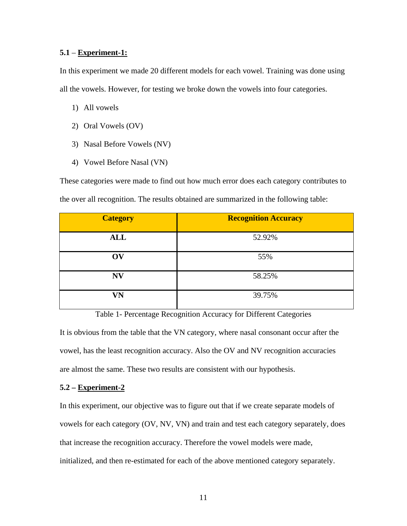## **5.1** – **Experiment-1:**

In this experiment we made 20 different models for each vowel. Training was done using all the vowels. However, for testing we broke down the vowels into four categories.

- 1) All vowels
- 2) Oral Vowels (OV)
- 3) Nasal Before Vowels (NV)
- 4) Vowel Before Nasal (VN)

These categories were made to find out how much error does each category contributes to the over all recognition. The results obtained are summarized in the following table:

| <b>Category</b> | <b>Recognition Accuracy</b> |
|-----------------|-----------------------------|
| <b>ALL</b>      | 52.92%                      |
| OV              | 55%                         |
| <b>NV</b>       | 58.25%                      |
| VN              | 39.75%                      |

Table 1- Percentage Recognition Accuracy for Different Categories It is obvious from the table that the VN category, where nasal consonant occur after the vowel, has the least recognition accuracy. Also the OV and NV recognition accuracies are almost the same. These two results are consistent with our hypothesis.

## **5.2 – Experiment-2**

In this experiment, our objective was to figure out that if we create separate models of vowels for each category (OV, NV, VN) and train and test each category separately, does that increase the recognition accuracy. Therefore the vowel models were made, initialized, and then re-estimated for each of the above mentioned category separately.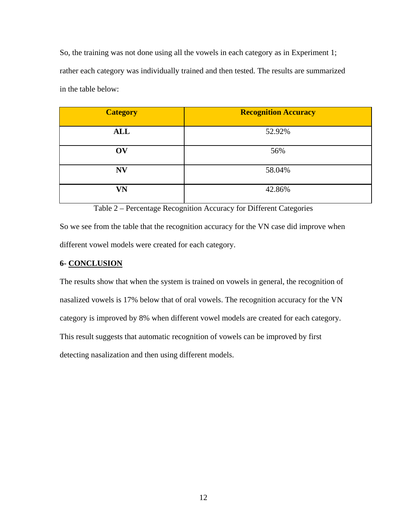So, the training was not done using all the vowels in each category as in Experiment 1; rather each category was individually trained and then tested. The results are summarized in the table below:

| <b>Category</b> | <b>Recognition Accuracy</b> |
|-----------------|-----------------------------|
| <b>ALL</b>      | 52.92%                      |
| OV              | 56%                         |
| <b>NV</b>       | 58.04%                      |
| VN              | 42.86%                      |

Table 2 – Percentage Recognition Accuracy for Different Categories

So we see from the table that the recognition accuracy for the VN case did improve when different vowel models were created for each category.

## **6- CONCLUSION**

The results show that when the system is trained on vowels in general, the recognition of nasalized vowels is 17% below that of oral vowels. The recognition accuracy for the VN category is improved by 8% when different vowel models are created for each category. This result suggests that automatic recognition of vowels can be improved by first detecting nasalization and then using different models.